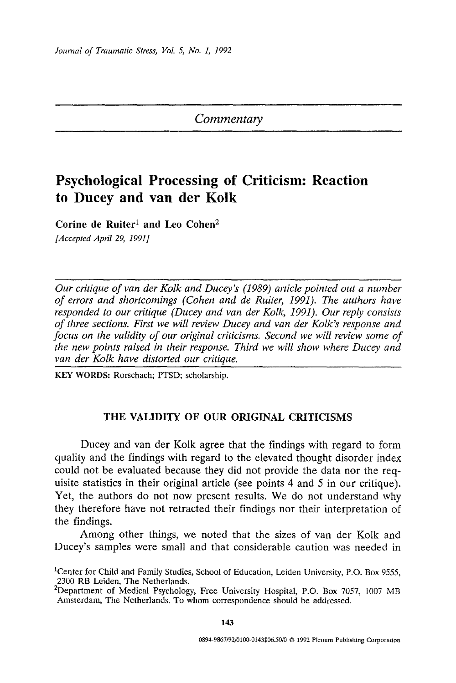*Commentary* 

# **Psychological Processing of Criticism: Reaction to Ducey and van der Kolk**

Corine de Ruiter<sup>1</sup> and Leo Cohen<sup>2</sup> *[Accepted April 29, 1991]* 

*Our critique of van der Kolk and Ducey's (1989) article pointed out a number of errors and shortcomings (Cohen and de Ruiter, 1991). The authors have responded to our critique (Ducey and van der Kolk, 1991). Our reply consists of three sections. First we will review Ducey and van der Kolk's response and focus on the validity of our original criticisms. Second we will review some of the new points raised in their response. Third we will show where Ducey and van der Kolk have distorted our critique.* 

KEY WORDS: Rorschach; PTSD; scholarship.

### **THE VALIDITY OF OUR ORIGINAL CRITICISMS**

Ducey and van der Kolk agree that the findings with regard to form quality and the findings with regard to the elevated thought disorder index could not be evaluated because they did not provide the data nor the requisite statistics in their original article (see points 4 and 5 in our critique). Yet, the authors do not now present results. We do not understand why they therefore have not retracted their findings nor their interpretation of the findings.

Among other things, we noted that the sizes of van der Kolk and Ducey's samples were small and that considerable caution was needed in

<sup>&</sup>lt;sup>1</sup>Center for Child and Family Studies, School of Education, Leiden University, P.O. Box 9555, 2300 RB Leiden, The Netherlands.

<sup>&</sup>lt;sup>2</sup>Department of Medical Psychology, Free University Hospital, P.O. Box 7057, 1007 MB Amsterdam, The Netherlands. To whom correspondence should be addressed.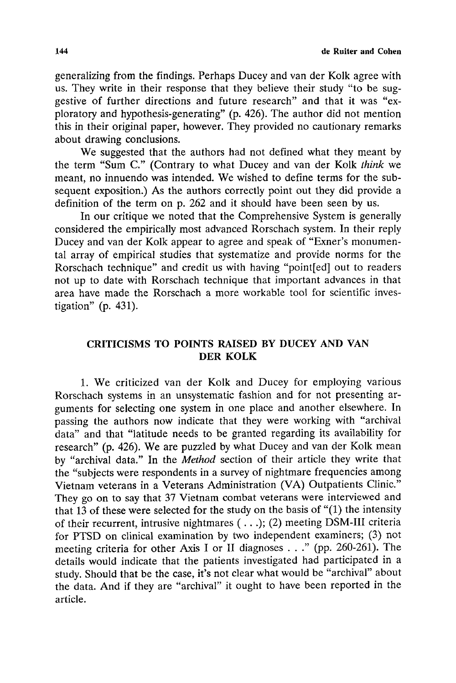generalizing from the findings. Perhaps Ducey and van der Kolk agree with us. They write in their response that they believe their study "to be suggestive of further directions and future research" and that it was "exploratory and hypothesis-generating" (p. 426). The author did not mention this in their original paper, however. They provided no cautionary remarks about drawing conclusions.

We suggested that the authors had not defined what they meant by the term "Sum C." (Contrary to what Ducey and van der Kolk *think* we meant, no innuendo was intended. We wished to define terms for the subsequent exposition.) As the authors correctly point out they did provide a definition of the term on p. 262 and it should have been seen by us.

In our critique we noted that the Comprehensive System is generally considered the empirically most advanced Rorschach system. In their reply Ducey and van der Kolk appear to agree and speak of "Exner's monumental array of empirical studies that systematize and provide norms for the Rorschach technique" and credit us with having "point[ed] out to readers not up to date with Rorschach technique that important advances in that area have made the Rorschach a more workable tool for scientific investigation" (p. 431).

## CRITICISMS TO POINTS RAISED BY DUCEY AND VAN **DER KOLK**

1. We criticized van der Kolk and Ducey for employing various Rorschach systems in an unsystematic fashion and for not presenting arguments for selecting one system in one place and another elsewhere. In passing the authors now indicate that they were working with "archival data" and that "latitude needs to be granted regarding its availability for research" (p. 426). We are puzzled by what Ducey and van der Kolk mean by "archival data." In the *Method* section of their article they write that the "subjects were respondents in a survey of nightmare frequencies among Vietnam veterans in a Veterans Administration (VA) Outpatients Clinic." They go on to say that 37 Vietnam combat veterans were interviewed and that  $13$  of these were selected for the study on the basis of " $(1)$  the intensity of their recurrent, intrusive nightmares (...); (2) meeting DSM-III criteria for PTSD on clinical examination by two independent examiners; (3) not meeting criteria for other Axis I or II diagnoses . . ." (pp. 260-261). The details would indicate that the patients investigated had participated in a study. Should that be the case, it's not clear what would be "archival" about the data. And if they are "archival" it ought to have been reported in the article.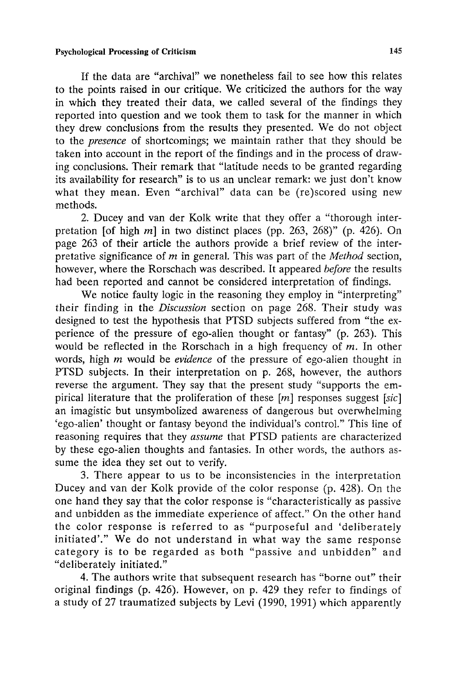If the data are "archival" we nonetheless fail to see how this relates to the points raised in our critique. We criticized the authors for the way in which they treated their data, we called several of the findings they reported into question and we took them to task for the manner in which they drew conclusions from the results they presented. We do not object to the *presence* of shortcomings; we maintain rather that they should be taken into account in the report of the findings and in the process of drawing conclusions. Their remark that "latitude needs to be granted regarding its availability for research" is to us an unclear remark: we just don't know what they mean. Even "archival" data can be (re)scored using new methods.

2. Ducey and van der Kolk write that they offer a "thorough interpretation [of high  $m$ ] in two distinct places (pp. 263, 268)" (p. 426). On page 263 of their article the authors provide a brief review of the interpretative significance of m in general. This was part of the *Method* section, however, where the Rorschach was described. It appeared *before* the results had been reported and cannot be considered interpretation of findings.

We notice faulty logic in the reasoning they employ in "interpreting" their finding in the *Discussion* section on page 268. Their study was designed to test the hypothesis that PTSD subjects suffered from "the experience of the pressure of ego-alien thought or fantasy" (p. 263). This would be reflected in the Rorschach in a high frequency of  $m$ . In other words, high m would be *evidence* of the pressure of ego-alien thought in PTSD subjects. In their interpretation on p. 268, however, the authors reverse the argument. They say that the present study "supports the empirical literature that the proliferation of these [m] responses suggest *[sic]*  an imagistic but unsymbolized awareness of dangerous but overwhelming 'ego-alien' thought or fantasy beyond the individual's control." This line of reasoning requires that they *assume* that PTSD patients are characterized by these ego-alien thoughts and fantasies. In other words, the authors assume the idea they set out to verify.

3. There appear to us to be inconsistencies in the interpretation Ducey and van der Kolk provide of the color response (p. 428). On the one hand they say that the color response is "characteristically as passive and unbidden as the immediate experience of affect." On the other hand the color response is referred to as "purposeful and 'deliberately initiated'." We do not understand in what way the same response category is to be regarded as both "passive and unbidden" and "deliberately initiated."

4. The authors write that subsequent research has "borne out" their original findings (p. 426). However, on p. 429 they refer to findings of a study of 27 traumatized subjects by Levi (1990, 1991) which apparently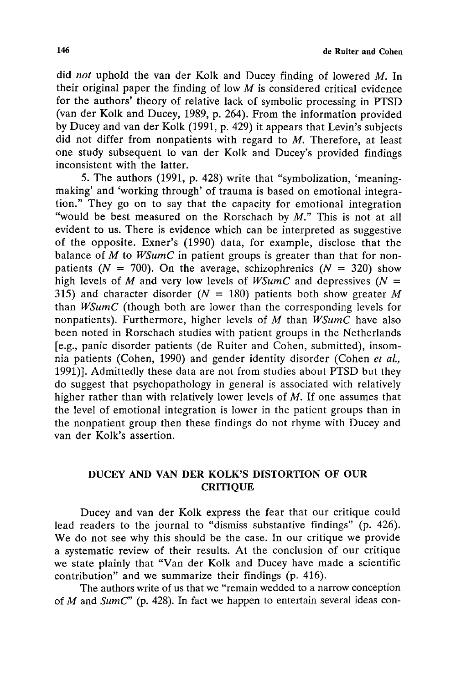did *not* uphold the van der Kolk and Ducey finding of lowered M. In their original paper the finding of low  $M$  is considered critical evidence for the authors' theory of relative lack of symbolic processing in PTSD (van der Kolk and Ducey, 1989, p. 264). From the information provided by Ducey and van der Kolk (1991, p. 429) it appears that Levin's subjects did not differ from nonpatients with regard to M. Therefore, at least one study subsequent to van der Kolk and Ducey's provided findings inconsistent with the latter.

5. The authors (1991, p. 428) write that "symbolization, 'meaningmaking' and 'working through' of trauma is based on emotional integration." They go on to say that the capacity for emotional integration "would be best measured on the Rorschach by  $M$ ." This is not at all evident to us. There is evidence which can be interpreted as suggestive of the opposite. Exner's (1990) data, for example, disclose that the balance of *M* to *WSumC* in patient groups is greater than that for nonpatients ( $N = 700$ ). On the average, schizophrenics ( $N = 320$ ) show high levels of M and very low levels of  $WSumC$  and depressives ( $N =$ 315) and character disorder ( $N = 180$ ) patients both show greater M than *WSumC* (though both are lower than the corresponding levels for nonpatients). Furthermore, higher levels of M than *WSumC* have also been noted in Rorschach studies with patient groups in the Netherlands [e.g., panic disorder patients (de Ruiter and Cohen, submitted), insomnia patients (Cohen, 1990) and gender identity disorder (Cohen *et al.,*  1991)]. Admittedly these data are not from studies about PTSD but they do suggest that psychopathology in general is associated with relatively higher rather than with relatively lower levels of M. If one assumes that the level of emotional integration is lower in the patient groups than in the nonpatient group then these findings do not rhyme with Ducey and van der Kolk's assertion.

## **DUCEY AND VAN DER KOLK'S DISTORTION OF OUR**  CRITIQUE

Ducey and van der Kolk express the fear that our critique could lead readers to the journal to "dismiss substantive findings" (p. 426). We do not see why this should be the case. In our critique we provide a systematic review of their results. At the conclusion of our critique we state plainly that "Van der Kolk and Ducey have made a scientific contribution" and we summarize their findings (p. 416).

The authors write of us that we "remain wedded to a narrow conception of M and *SumC"* (p. 428). In fact we happen to entertain several ideas con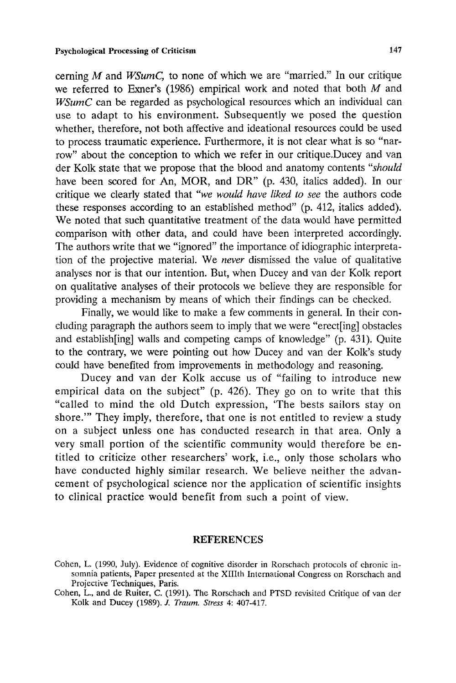cerning M and *WSumC,* to none of which we are "married." In our critique we referred to Exner's (1986) empirical work and noted that both  $M$  and *WSumC* can be regarded as psychological resources which an individual can use to adapt to his environment. Subsequently we posed the question whether, therefore, not both affective and ideational resources could be used to process traumatic experience. Furthermore, it is not clear what is so "narrow" about the conception to which we refer in our critique.Ducey and van der Kolk state that we propose that the blood and anatomy contents *"should*  have been scored for An, MOR, and DR" (p. 430, italics added). In our critique we dearly stated that *"we would have liked to see* the authors code these responses according to an established method" (p. 412, italics added). We noted that such quantitative treatment of the data would have permitted comparison with other data, and could have been interpreted accordingly. The authors write that we "ignored" the importance of idiographic interpretation of the projective material. We *never* dismissed the value of qualitative analyses nor is that our intention. But, when Ducey and van der Kolk report on qualitative analyses of their protocols we believe they are responsible for providing a mechanism by means of which their findings can be checked.

Finally, we would like to make a few comments in general. In their concluding paragraph the authors seem to imply that we were "erect[ing] obstacles and establish[ing] walls and competing camps of knowledge" (p. 431). Quite to the contrary, we were pointing out how Ducey and van der Kolk's study could have benefited from improvements in methodology and reasoning.

Ducey and van der Kolk accuse us of "failing to introduce new empirical data on the subject" (p. 426). They go on to write that this "called to mind the old Dutch expression, 'The bests sailors stay on shore.'" They imply, therefore, that one is not entitled to review a study on a subject unless one has conducted research in that area. Only a very small portion of the scientific community would therefore be entitled to criticize other researchers' work, i.e., only those scholars who have conducted highly similar research. We believe neither the advancement of psychological science nor the application of scientific insights to clinical practice would benefit from such a point of view.

#### **REFERENCES**

Cohen, L. (1990, July). Evidence of cognitive disorder in Rorschach protocols of chronic insomnia patients, Paper presented at the XIIIth International Congress on Rorschach and Projective Techniques, Paris.

Cohen, L., and de Ruiter, C. (1991). The Rorschach and PTSD revisited Critique of van der Kolk and Ducey (1989). Z *Traum. Stress* 4: 407-417.